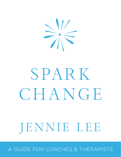

## SPARK CHANGE

## JENNIE LEE

A GUIDE FOR COACHES & THERAPISTS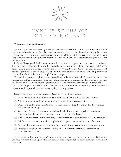$\geq \frac{1}{1}$ 

## USING SPARK CHANGE With Your Clients

Welcome, coaches and therapists!

*Spark Change: 108 Provocative Questions for Spiritual Evolution* was written by a longtime spiritual coach/yoga therapist, Jennie Lee. For over two decades, she has refined questions to help her clients get unstuck. These powerful questions require accountability, and they create inner empowerment. People have reported having visceral responses to the questions, "aha" moments, and genuine desire to take action.

In *Spark Change*, you'll find 12 themes for reflection, with nine questions connected to each theme. These questions allow people to think differently and see possibility where they maybe didn't see it before, inviting lasting change from the inside out. Using these questions with your clients, you'll provide a platform for people to get clearer about the changes they need to make and engage them to be more hopeful that they can accomplish these changes.

The questions prompt people to accept responsibility for their reactions to life's circumstances, making them agents of their own destiny. This helps them become more courageous. The questions will help you help your clients move toward a greater awareness and expression of their highest, truest self.

And don't forget . . . even coaches and therapists get stuck sometimes too. By using the 108 questions in your own life, you will be even better equipped to help others.

Here are just a few ways you might use *Spark Change* with your clients:

- $\frac{1}{20}$  Leave the book in your lobby or on your desk facing forward to spark their curiosity.
- Ask them to open randomly to a question to begin the day's conversation.
- $\frac{1}{200}$  Offer paper and pen for them to answer a question in writing. Set a timer for three minutes and see what comes up.
- Write the 12 chapter themes on a whiteboard and ask your client to pick the word that most resonates. Then choose a question from that chapter to discuss.
- $\frac{1}{100}$  Find a question that you think is fitting for their circumstance and weave it into your session.
- $\frac{1}{2}$  Ask for a commitment to work through the 12 chapters, one month at a time for a year.
- At the end of a session, offer a question for your client to reflect upon until you meet again.
- $\frac{1}{100}$  Or assign a question and ask them to bring in their reflective writing for discussion at your next appointment.

These are just a few ways to use *Spark Change* in your coaching or therapy practice. Be creative and have fun with it! These powerful questions are sure to ignite lots of new inspirations for you and your clients.